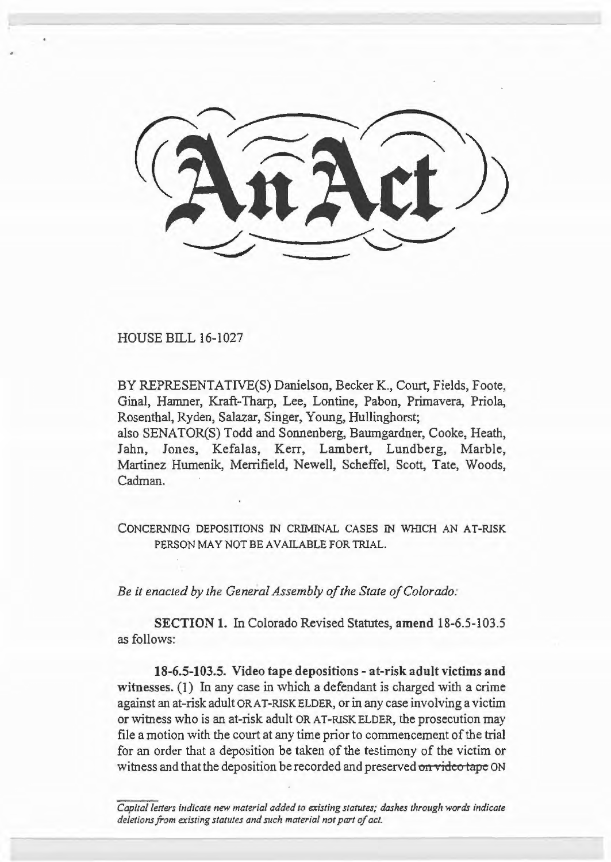HOUSE BILL 16-1027

BY REPRESENTATIVE(S) Danielson, Becker K., Court, Fields, Foote, Ginal, Hamner, Kraft-Tharp, Lee, Lontine, Pabon, Primavera, Priola, Rosenthal, Ryden, Salazar, Singer, Young, Hullinghorst;

also SENATOR(S) Todd and Sonnenberg, Baumgardner, Cooke, Heath, Jahn, Jones, Kefalas, Kerr, Lambert, Lundberg, Marble, Martinez Humenik, Merrifield, Newell, Scheffel, Scott, Tate, Woods, Cadman.

CONCERNING DEPOSITIONS IN CRIMINAL CASES IN WHICH AN AT-RISK PERSON MAY NOT BE AVAILABLE FOR TRIAL.

*Be it enacted by the General Assembly of the State of Colorado:* 

SECTION 1. In Colorado Revised Statutes, amend 18-6.5-103.5 as follows:

18-6.5-103.5. Video tape depositions - at-risk adult victims and witnesses. (I) In any case in which a defendant is charged with a crime against an at-risk adult OR AT-RISK ELDER, or in any case involving a victim or witness who is an at-risk adult OR AT-RISK ELDER, the prosecution may file a motion with the court at any time prior to commencement of the trial for an order that a deposition be taken of the testimony of the victim or witness and that the deposition be recorded and preserved on video tape ON

*Capital letters indicate new material added to existing statutes; dashes through words indicate deletions from existing statutes and such material not part of act.*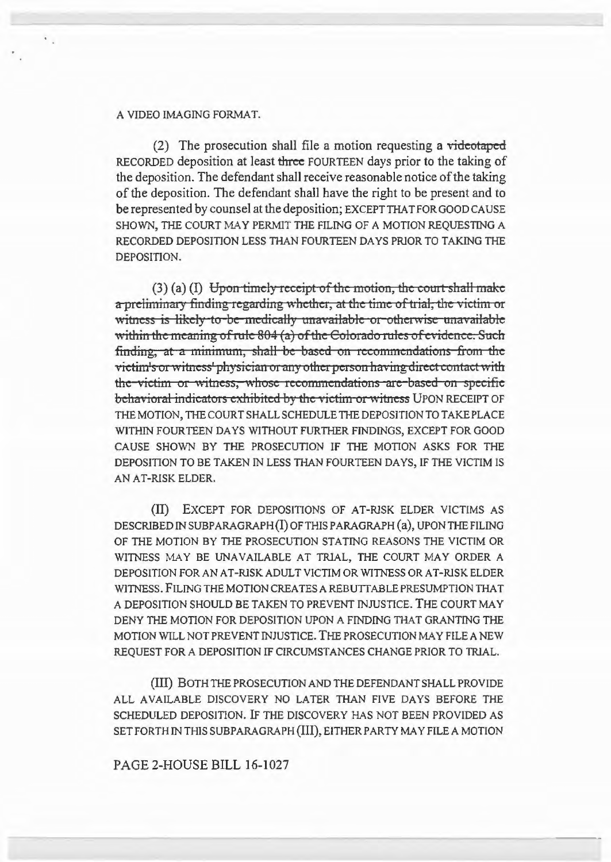## A VIDEO IMAGING FORMAT.

(2) The prosecution shall file a motion requesting a videotaped RECORDED deposition at least three FOURTEEN days prior to the taking of the deposition. The defendant shall receive reasonable notice of the taking of the deposition. The defendant shall have the right to be present and to be represented by counsel at the deposition; EXCEPT THAT FOR GOOD CAUSE SHOWN, THE COURT MAY PERMIT THE FILING OF A MOTION REQUESTING A RECORDED DEPOSITION LESS THAN FOURTEEN DAYS PRIOR TO TAKING THE DEPOSITION.

 $(3)$  (a) (I) Upon timely receipt of the motion, the court shall make a preliminary finding regarding whether, at the time of trial, the victim or witness is likely to be medically unavailable or otherwise unavailable within the meaning of rule 804 (a) of the Colorado rules of evidence. Such finding, at a minimum, shall be based on recommendations from the victim's or witness' physician or any other person having direct contact with the-victim or witness, whose recommendations are based on specific behavioral indicators exhibited by the victim or witness UPON RECEIPT OF THE MOTION, THE COURT SHALL SCHEDULE THE DEPOSITION TO TAKE PLACE WITHIN FOURTEEN DAYS WITHOUT FURTHER FINDINGS, EXCEPT FOR GOOD CAUSE SHOWN BY THE PROSECUTION IF THE MOTION ASKS FOR THE DEPOSITION TO BE TAKEN IN LESS THAN FOURTEEN DAYS, IF THE VICTIM IS AN AT-RISK ELDER.

(II) EXCEPT FOR DEPOSITIONS OF AT-RISK ELDER VICTIMS AS DESCRIBED IN SUBPARAGRAPH(I) OF THIS PARAGRAPH (a), UPON THE FILING OF THE MOTION BY THE PROSECUTION STATING REASONS THE VICTIM OR WITNESS MAY BE UNAVAILABLE AT TRIAL, THE COURT MAY ORDER A DEPOSITION FOR AN AT-RISK ADULT VICTIM OR WITNESS OR AT-RISK ELDER WITNESS. FILING THE MOTION CREATES A REBUTTABLE PRESUMPTION THAT A DEPOSITION SHOULD BE TAKEN TO PREVENT INJUSTICE. THE COURT MAY DENY THE MOTION FOR DEPOSITION UPON A FINDING THAT GRANTING THE MOTION WILL NOT PREVENT INJUSTICE. THE PROSECUTION MAY FILE A NEW REQUEST FOR A DEPOSITION IF CIRCUMSTANCES CHANGE PRIOR TO TRIAL.

(III) BOTH THE PROSECUTION AND THE DEFENDANT SHALL PROVIDE ALL AVAILABLE DISCOVERY NO LATER THAN FIVE DAYS BEFORE THE SCHEDULED DEPOSITION. IF THE DISCOVERY HAS NOT BEEN PROVIDED AS SET FORTH IN THIS SUBPARAGRAPH (III), EITHER PARTY MAY FILE A MOTION

## PAGE 2-HOUSE BILL 16-1027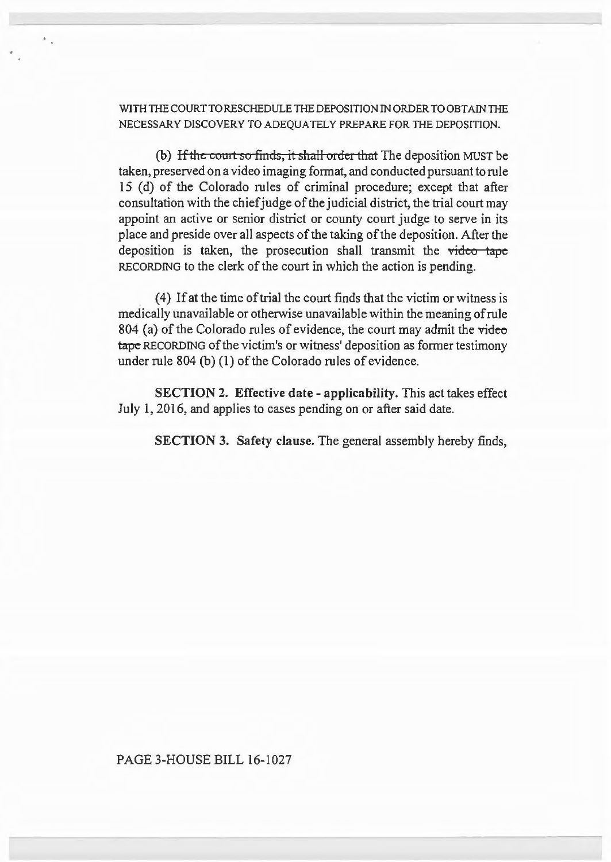WITH THE COURT TO RESCHEDULE THE DEPOSITION IN ORDER TO OBTAIN THE NECESSARY DISCOVERY TO ADEQUATELY PREPARE FOR THE DEPOSITION.

(b) If the court so finds, it shall order that The deposition MUST be taken, preserved on a video imaging format, and conducted pursuant to rule 15 (d) of the Colorado rules of criminal procedure; except that after consultation with the chief judge of the judicial district, the trial court may appoint an active or senior district or county court judge to serve in its place and preside over all aspects of the taking of the deposition. After the deposition is taken, the prosecution shall transmit the video tape RECORDING to the clerk of the court in which the action is pending.

(4) If at the time of trial the court finds that the victim or witness is medically unavailable or otherwise unavailable within the meaning of rule 804 (a) of the Colorado rules of evidence, the court may admit the video tape RECORDING of the victim's or witness' deposition as former testimony under rule 804 (b) (I) of the Colorado rules of evidence.

SECTION 2. Effective date - applicability. This act takes effect July 1, 2016, and applies to cases pending on or after said date.

SECTION 3. Safety clause. The general assembly hereby finds,